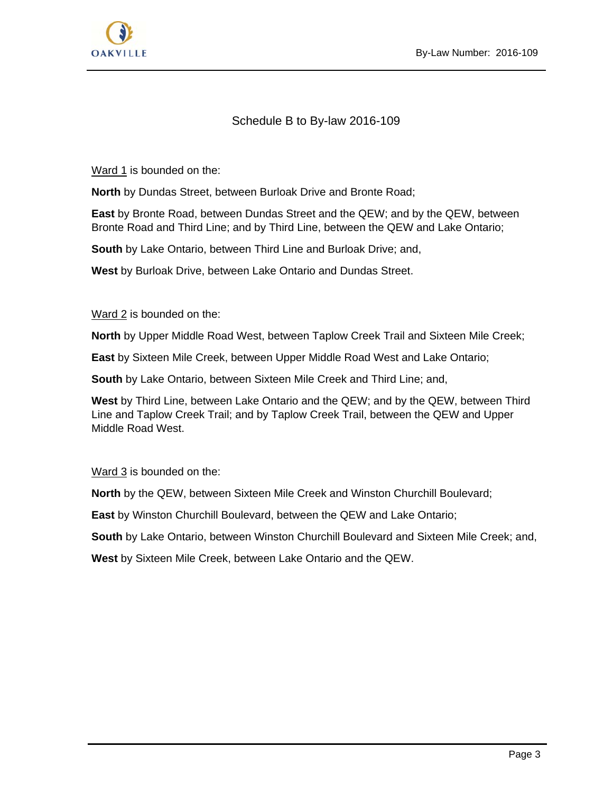

## Schedule B to By-law 2016-109

Ward 1 is bounded on the:

**North** by Dundas Street, between Burloak Drive and Bronte Road;

**East** by Bronte Road, between Dundas Street and the QEW; and by the QEW, between Bronte Road and Third Line; and by Third Line, between the QEW and Lake Ontario;

**South** by Lake Ontario, between Third Line and Burloak Drive; and,

**West** by Burloak Drive, between Lake Ontario and Dundas Street.

Ward 2 is bounded on the:

**North** by Upper Middle Road West, between Taplow Creek Trail and Sixteen Mile Creek;

**East** by Sixteen Mile Creek, between Upper Middle Road West and Lake Ontario;

**South** by Lake Ontario, between Sixteen Mile Creek and Third Line; and,

**West** by Third Line, between Lake Ontario and the QEW; and by the QEW, between Third Line and Taplow Creek Trail; and by Taplow Creek Trail, between the QEW and Upper Middle Road West.

Ward 3 is bounded on the:

**North** by the QEW, between Sixteen Mile Creek and Winston Churchill Boulevard;

**East** by Winston Churchill Boulevard, between the QEW and Lake Ontario;

**South** by Lake Ontario, between Winston Churchill Boulevard and Sixteen Mile Creek; and,

**West** by Sixteen Mile Creek, between Lake Ontario and the QEW.